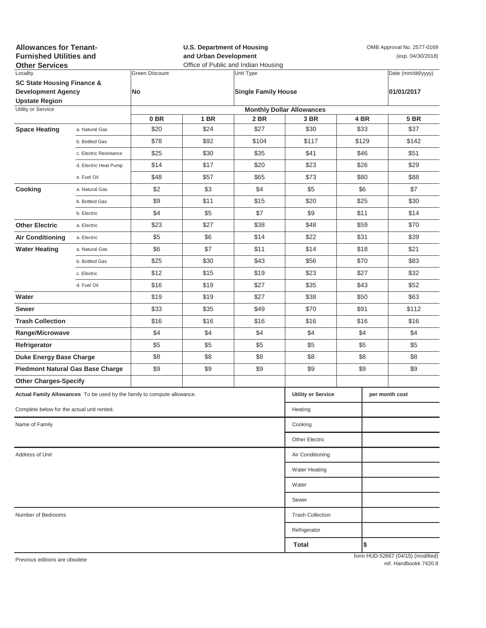| <b>Allowances for Tenant-</b><br><b>Furnished Utilities and</b><br><b>Other Services</b>    |                                                                         |                       | <b>U.S. Department of Housing</b><br>and Urban Development<br>Office of Public and Indian Housing |                            |                                  |      | OMB Approval No. 2577-0169<br>(exp. 04/30/2018) |                                   |  |  |
|---------------------------------------------------------------------------------------------|-------------------------------------------------------------------------|-----------------------|---------------------------------------------------------------------------------------------------|----------------------------|----------------------------------|------|-------------------------------------------------|-----------------------------------|--|--|
| Locality                                                                                    |                                                                         | <b>Green Discount</b> |                                                                                                   | Unit Type                  |                                  |      |                                                 | Date (mm/dd/yyyy)                 |  |  |
| <b>SC State Housing Finance &amp;</b><br><b>Development Agency</b><br><b>Upstate Region</b> |                                                                         | No                    |                                                                                                   | <b>Single Family House</b> |                                  |      |                                                 | 01/01/2017                        |  |  |
| Utility or Service                                                                          |                                                                         |                       |                                                                                                   |                            | <b>Monthly Dollar Allowances</b> |      |                                                 |                                   |  |  |
|                                                                                             |                                                                         | 0 <sub>BR</sub>       | 1 BR                                                                                              | 2 BR                       | 3 BR                             |      | 4 BR                                            | <b>5 BR</b>                       |  |  |
| <b>Space Heating</b>                                                                        | a. Natural Gas                                                          | \$20                  | \$24                                                                                              | \$27                       | \$30                             |      | \$33                                            | \$37                              |  |  |
|                                                                                             | b. Bottled Gas                                                          | \$78                  | \$92                                                                                              | \$104                      | \$117                            |      | \$129                                           | \$142                             |  |  |
|                                                                                             | c. Electric Resistance                                                  | \$25                  | \$30                                                                                              | \$35                       | \$41                             | \$46 |                                                 | \$51                              |  |  |
|                                                                                             | d. Electric Heat Pump                                                   | \$14                  | \$17                                                                                              | \$20                       | \$23                             |      | \$26                                            | \$29                              |  |  |
|                                                                                             | e. Fuel Oil                                                             | \$48                  | \$57                                                                                              | \$65                       | \$73                             |      | \$80                                            | \$88                              |  |  |
| Cooking                                                                                     | a. Natural Gas                                                          | \$2                   | \$3                                                                                               | \$4                        | \$5                              |      | \$6                                             | \$7                               |  |  |
|                                                                                             | b. Bottled Gas                                                          | \$9                   | \$11                                                                                              | \$15                       | \$20                             | \$25 |                                                 | \$30                              |  |  |
|                                                                                             | b. Electric                                                             | \$4                   | \$5                                                                                               | \$7                        | \$9                              | \$11 |                                                 | \$14                              |  |  |
| <b>Other Electric</b>                                                                       | a. Electric                                                             | \$23                  | \$27                                                                                              | \$38                       | \$48                             | \$59 |                                                 | \$70                              |  |  |
| <b>Air Conditioning</b>                                                                     | a. Electric                                                             | \$5                   | \$6                                                                                               | \$14                       | \$22                             | \$31 |                                                 | \$39                              |  |  |
| <b>Water Heating</b>                                                                        | a. Natural Gas                                                          | \$6                   | \$7                                                                                               | \$11                       | \$14                             | \$18 |                                                 | \$21                              |  |  |
|                                                                                             | b. Bottled Gas                                                          | \$25                  | \$30                                                                                              | \$43                       | \$56                             |      | \$70                                            | \$83                              |  |  |
|                                                                                             | c. Electric                                                             | \$12                  | \$15                                                                                              | \$19                       | \$23                             |      | \$27                                            | \$32                              |  |  |
|                                                                                             | d. Fuel Oil                                                             | \$16                  | \$19                                                                                              | \$27                       | \$35                             |      | \$43                                            | \$52                              |  |  |
| Water                                                                                       |                                                                         | \$19                  | \$19                                                                                              | \$27                       | \$38                             |      | \$50                                            | \$63                              |  |  |
| Sewer                                                                                       |                                                                         | \$33                  | \$35                                                                                              | \$49                       | \$70                             | \$91 |                                                 | \$112                             |  |  |
| <b>Trash Collection</b>                                                                     |                                                                         | \$16                  | \$16                                                                                              | \$16                       | \$16                             | \$16 |                                                 | \$16                              |  |  |
| Range/Microwave                                                                             |                                                                         | \$4                   | \$4                                                                                               | \$4                        | \$4                              | \$4  |                                                 | \$4                               |  |  |
| Refrigerator                                                                                |                                                                         | \$5                   | \$5                                                                                               | \$5                        | \$5                              | \$5  |                                                 | \$5                               |  |  |
| <b>Duke Energy Base Charge</b>                                                              |                                                                         | \$8                   | \$8                                                                                               | \$8                        | \$8                              | \$8  |                                                 | \$8                               |  |  |
| <b>Piedmont Natural Gas Base Charge</b>                                                     |                                                                         | \$9                   | \$9                                                                                               | \$9                        | \$9                              | \$9  |                                                 | \$9                               |  |  |
| <b>Other Charges-Specify</b>                                                                |                                                                         |                       |                                                                                                   |                            |                                  |      |                                                 |                                   |  |  |
|                                                                                             | Actual Family Allowances To be used by the family to compute allowance. |                       |                                                                                                   |                            | <b>Utility or Service</b>        |      |                                                 | per month cost                    |  |  |
| Complete below for the actual unit rented.                                                  |                                                                         |                       |                                                                                                   |                            | Heating                          |      |                                                 |                                   |  |  |
| Name of Family                                                                              |                                                                         |                       |                                                                                                   |                            | Cooking                          |      |                                                 |                                   |  |  |
|                                                                                             |                                                                         |                       |                                                                                                   |                            | <b>Other Electric</b>            |      |                                                 |                                   |  |  |
| Address of Unit                                                                             | Air Conditioning                                                        |                       |                                                                                                   |                            |                                  |      |                                                 |                                   |  |  |
|                                                                                             |                                                                         |                       |                                                                                                   |                            | <b>Water Heating</b>             |      |                                                 |                                   |  |  |
|                                                                                             |                                                                         |                       |                                                                                                   |                            | Water                            |      |                                                 |                                   |  |  |
|                                                                                             |                                                                         |                       |                                                                                                   |                            | Sewer                            |      |                                                 |                                   |  |  |
| Number of Bedrooms                                                                          | <b>Trash Collection</b>                                                 |                       |                                                                                                   |                            |                                  |      |                                                 |                                   |  |  |
|                                                                                             |                                                                         |                       |                                                                                                   |                            | Refrigerator                     |      |                                                 |                                   |  |  |
|                                                                                             |                                                                         |                       |                                                                                                   |                            | Total                            |      | \$                                              |                                   |  |  |
| Previous editions are obsolete                                                              |                                                                         |                       |                                                                                                   |                            |                                  |      |                                                 | form HUD-52667 (04/15) (modified) |  |  |